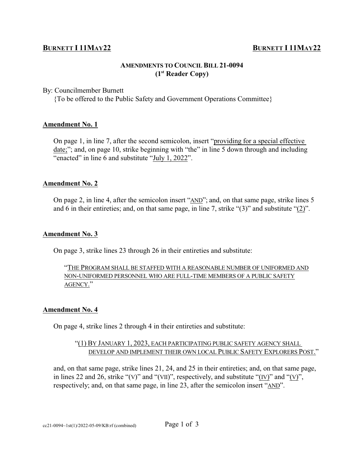# **BURNETT I 11MAY<sup>22</sup>**

## **AMENDMENTS TO COUNCIL BILL 21-0094 (1st Reader Copy)**

#### By: Councilmember Burnett

{To be offered to the Public Safety and Government Operations Committee}

#### **Amendment No. 1**

On page 1, in line 7, after the second semicolon, insert "providing for a special effective date;"; and, on page 10, strike beginning with "the" in line 5 down through and including "enacted" in line 6 and substitute "July 1, 2022".

#### **Amendment No. 2**

On page 2, in line 4, after the semicolon insert "AND"; and, on that same page, strike lines 5 and 6 in their entireties; and, on that same page, in line 7, strike "(3)" and substitute "(2)".

#### **Amendment No. 3**

On page 3, strike lines 23 through 26 in their entireties and substitute:

## "THE PROGRAM SHALL BE STAFFED WITH A REASONABLE NUMBER OF UNIFORMED AND NON-UNIFORMED PERSONNEL WHO ARE FULL-TIME MEMBERS OF A PUBLIC SAFETY AGENCY."

### **Amendment No. 4**

On page 4, strike lines 2 through 4 in their entireties and substitute:

### "(1) BY JANUARY 1, 2023, EACH PARTICIPATING PUBLIC SAFETY AGENCY SHALL DEVELOP AND IMPLEMENT THEIR OWN LOCAL PUBLIC SAFETY EXPLORERS POST."

and, on that same page, strike lines 21, 24, and 25 in their entireties; and, on that same page, in lines 22 and 26, strike "(V)" and "(VII)", respectively, and substitute "(IV)" and "(V)", respectively; and, on that same page, in line 23, after the semicolon insert "AND".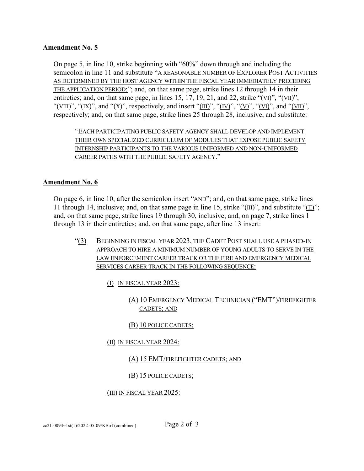## **Amendment No. 5**

On page 5, in line 10, strike beginning with "60%" down through and including the semicolon in line 11 and substitute "A REASONABLE NUMBER OF EXPLORER POST ACTIVITIES AS DETERMINED BY THE HOST AGENCY WITHIN THE FISCAL YEAR IMMEDIATELY PRECEDING THE APPLICATION PERIOD;"; and, on that same page, strike lines 12 through 14 in their entireties; and, on that same page, in lines 15, 17, 19, 21, and 22, strike "(VI)", "(VII)", "(VIII)", "(IX)", and "(X)", respectively, and insert "(III)", "(IV)", "(V)", "(VI)", and "(VII)", respectively; and, on that same page, strike lines 25 through 28, inclusive, and substitute:

"EACH PARTICIPATING PUBLIC SAFETY AGENCY SHALL DEVELOP AND IMPLEMENT THEIR OWN SPECIALIZED CURRICULUM OF MODULES THAT EXPOSE PUBLIC SAFETY INTERNSHIP PARTICIPANTS TO THE VARIOUS UNIFORMED AND NON-UNIFORMED CAREER PATHS WITH THE PUBLIC SAFETY AGENCY."

## **Amendment No. 6**

On page 6, in line 10, after the semicolon insert "AND"; and, on that same page, strike lines 11 through 14, inclusive; and, on that same page in line 15, strike "(III)", and substitute "(II)"; and, on that same page, strike lines 19 through 30, inclusive; and, on page 7, strike lines 1 through 13 in their entireties; and, on that same page, after line 13 insert:

- "(3) BEGINNING IN FISCAL YEAR 2023, THE CADET POST SHALL USE A PHASED-IN APPROACH TO HIRE A MINIMUM NUMBER OF YOUNG ADULTS TO SERVE IN THE LAW ENFORCEMENT CAREER TRACK OR THE FIRE AND EMERGENCY MEDICAL SERVICES CAREER TRACK IN THE FOLLOWING SEQUENCE:
	- (I) IN FISCAL YEAR 2023:
		- (A) 10 EMERGENCY MEDICAL TECHNICIAN ("EMT")/FIREFIGHTER CADETS; AND

## (B) 10 POLICE CADETS;

(II) IN FISCAL YEAR 2024:

### (A) 15 EMT/FIREFIGHTER CADETS; AND

### (B) 15 POLICE CADETS;

### (III) IN FISCAL YEAR 2025: